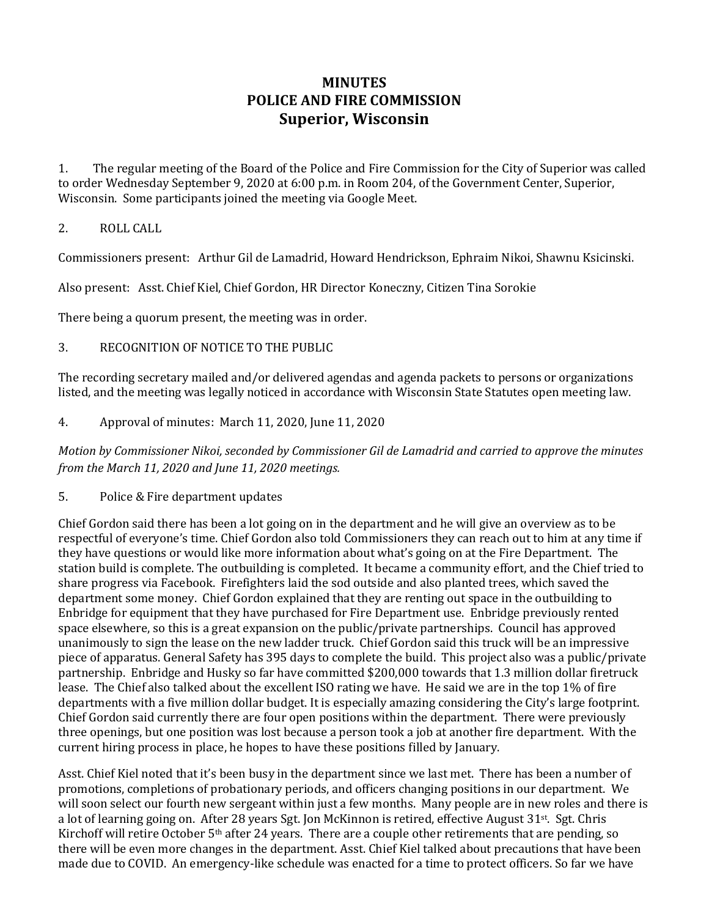## **MINUTES POLICE AND FIRE COMMISSION Superior, Wisconsin**

1. The regular meeting of the Board of the Police and Fire Commission for the City of Superior was called to order Wednesday September 9, 2020 at 6:00 p.m. in Room 204, of the Government Center, Superior, Wisconsin. Some participants joined the meeting via Google Meet.

## 2. ROLL CALL

Commissioners present: Arthur Gil de Lamadrid, Howard Hendrickson, Ephraim Nikoi, Shawnu Ksicinski.

Also present: Asst. Chief Kiel, Chief Gordon, HR Director Koneczny, Citizen Tina Sorokie

There being a quorum present, the meeting was in order.

## 3. RECOGNITION OF NOTICE TO THE PUBLIC

The recording secretary mailed and/or delivered agendas and agenda packets to persons or organizations listed, and the meeting was legally noticed in accordance with Wisconsin State Statutes open meeting law.

4. Approval of minutes: March 11, 2020, June 11, 2020

*Motion by Commissioner Nikoi, seconded by Commissioner Gil de Lamadrid and carried to approve the minutes from the March 11, 2020 and June 11, 2020 meetings.*

5. Police & Fire department updates

Chief Gordon said there has been a lot going on in the department and he will give an overview as to be respectful of everyone's time. Chief Gordon also told Commissioners they can reach out to him at any time if they have questions or would like more information about what's going on at the Fire Department. The station build is complete. The outbuilding is completed. It became a community effort, and the Chief tried to share progress via Facebook. Firefighters laid the sod outside and also planted trees, which saved the department some money. Chief Gordon explained that they are renting out space in the outbuilding to Enbridge for equipment that they have purchased for Fire Department use. Enbridge previously rented space elsewhere, so this is a great expansion on the public/private partnerships. Council has approved unanimously to sign the lease on the new ladder truck. Chief Gordon said this truck will be an impressive piece of apparatus. General Safety has 395 days to complete the build. This project also was a public/private partnership. Enbridge and Husky so far have committed \$200,000 towards that 1.3 million dollar firetruck lease. The Chief also talked about the excellent ISO rating we have. He said we are in the top 1% of fire departments with a five million dollar budget. It is especially amazing considering the City's large footprint. Chief Gordon said currently there are four open positions within the department. There were previously three openings, but one position was lost because a person took a job at another fire department. With the current hiring process in place, he hopes to have these positions filled by January.

Asst. Chief Kiel noted that it's been busy in the department since we last met. There has been a number of promotions, completions of probationary periods, and officers changing positions in our department. We will soon select our fourth new sergeant within just a few months. Many people are in new roles and there is a lot of learning going on. After 28 years Sgt. Jon McKinnon is retired, effective August 31st. Sgt. Chris Kirchoff will retire October 5th after 24 years. There are a couple other retirements that are pending, so there will be even more changes in the department. Asst. Chief Kiel talked about precautions that have been made due to COVID. An emergency-like schedule was enacted for a time to protect officers. So far we have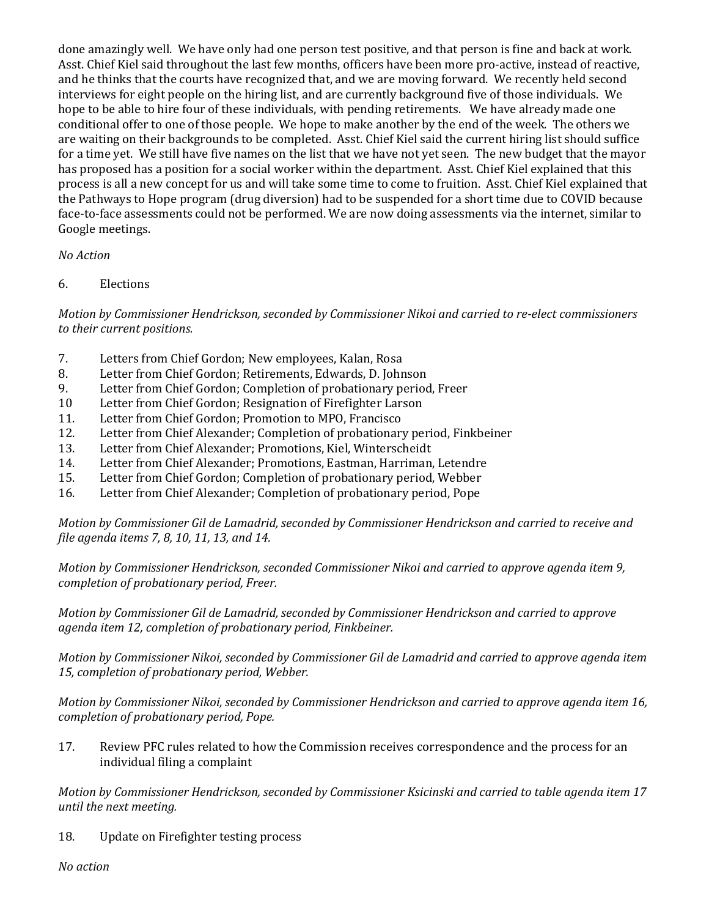done amazingly well. We have only had one person test positive, and that person is fine and back at work. Asst. Chief Kiel said throughout the last few months, officers have been more pro-active, instead of reactive, and he thinks that the courts have recognized that, and we are moving forward. We recently held second interviews for eight people on the hiring list, and are currently background five of those individuals. We hope to be able to hire four of these individuals, with pending retirements. We have already made one conditional offer to one of those people. We hope to make another by the end of the week. The others we are waiting on their backgrounds to be completed. Asst. Chief Kiel said the current hiring list should suffice for a time yet. We still have five names on the list that we have not yet seen. The new budget that the mayor has proposed has a position for a social worker within the department. Asst. Chief Kiel explained that this process is all a new concept for us and will take some time to come to fruition. Asst. Chief Kiel explained that the Pathways to Hope program (drug diversion) had to be suspended for a short time due to COVID because face-to-face assessments could not be performed. We are now doing assessments via the internet, similar to Google meetings.

## *No Action*

6. Elections

*Motion by Commissioner Hendrickson, seconded by Commissioner Nikoi and carried to re-elect commissioners to their current positions.*

- 7. Letters from Chief Gordon; New employees, Kalan, Rosa
- 8. Letter from Chief Gordon; Retirements, Edwards, D. Johnson
- 9. Letter from Chief Gordon; Completion of probationary period, Freer
- 10 Letter from Chief Gordon; Resignation of Firefighter Larson
- 11. Letter from Chief Gordon; Promotion to MPO, Francisco
- 12. Letter from Chief Alexander; Completion of probationary period, Finkbeiner
- 13. Letter from Chief Alexander; Promotions, Kiel, Winterscheidt
- 14. Letter from Chief Alexander; Promotions, Eastman, Harriman, Letendre
- 15. Letter from Chief Gordon; Completion of probationary period, Webber
- 16. Letter from Chief Alexander; Completion of probationary period, Pope

*Motion by Commissioner Gil de Lamadrid, seconded by Commissioner Hendrickson and carried to receive and file agenda items 7, 8, 10, 11, 13, and 14.*

*Motion by Commissioner Hendrickson, seconded Commissioner Nikoi and carried to approve agenda item 9, completion of probationary period, Freer.*

*Motion by Commissioner Gil de Lamadrid, seconded by Commissioner Hendrickson and carried to approve agenda item 12, completion of probationary period, Finkbeiner.*

*Motion by Commissioner Nikoi, seconded by Commissioner Gil de Lamadrid and carried to approve agenda item 15, completion of probationary period, Webber.*

*Motion by Commissioner Nikoi, seconded by Commissioner Hendrickson and carried to approve agenda item 16, completion of probationary period, Pope.* 

17. Review PFC rules related to how the Commission receives correspondence and the process for an individual filing a complaint

*Motion by Commissioner Hendrickson, seconded by Commissioner Ksicinski and carried to table agenda item 17 until the next meeting.* 

18. Update on Firefighter testing process

*No action*